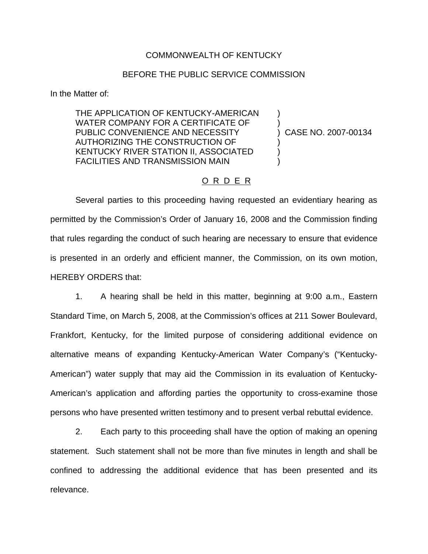## COMMONWEALTH OF KENTUCKY

## BEFORE THE PUBLIC SERVICE COMMISSION

In the Matter of:

THE APPLICATION OF KENTUCKY-AMERICAN WATER COMPANY FOR A CERTIFICATE OF PUBLIC CONVENIENCE AND NECESSITY AUTHORIZING THE CONSTRUCTION OF KENTUCKY RIVER STATION II, ASSOCIATED FACILITIES AND TRANSMISSION MAIN

) CASE NO. 2007-00134

) )

) ) )

## O R D E R

Several parties to this proceeding having requested an evidentiary hearing as permitted by the Commission's Order of January 16, 2008 and the Commission finding that rules regarding the conduct of such hearing are necessary to ensure that evidence is presented in an orderly and efficient manner, the Commission, on its own motion, HEREBY ORDERS that:

1. A hearing shall be held in this matter, beginning at 9:00 a.m., Eastern Standard Time, on March 5, 2008, at the Commission's offices at 211 Sower Boulevard, Frankfort, Kentucky, for the limited purpose of considering additional evidence on alternative means of expanding Kentucky-American Water Company's ("Kentucky-American") water supply that may aid the Commission in its evaluation of Kentucky-American's application and affording parties the opportunity to cross-examine those persons who have presented written testimony and to present verbal rebuttal evidence.

2. Each party to this proceeding shall have the option of making an opening statement. Such statement shall not be more than five minutes in length and shall be confined to addressing the additional evidence that has been presented and its relevance.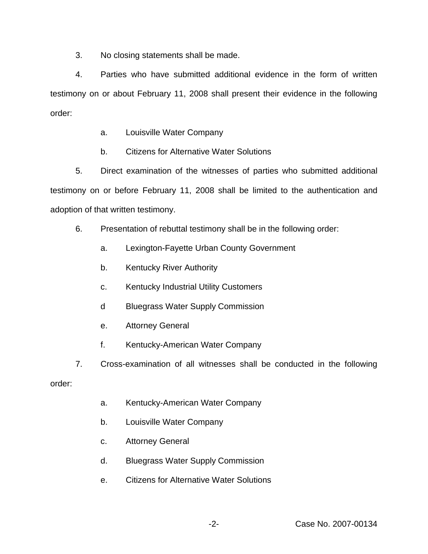3. No closing statements shall be made.

4. Parties who have submitted additional evidence in the form of written testimony on or about February 11, 2008 shall present their evidence in the following order:

- a. Louisville Water Company
- b. Citizens for Alternative Water Solutions

5. Direct examination of the witnesses of parties who submitted additional testimony on or before February 11, 2008 shall be limited to the authentication and adoption of that written testimony.

- 6. Presentation of rebuttal testimony shall be in the following order:
	- a. Lexington-Fayette Urban County Government
	- b. Kentucky River Authority
	- c. Kentucky Industrial Utility Customers
	- d Bluegrass Water Supply Commission
	- e. Attorney General
	- f. Kentucky-American Water Company
- 7. Cross-examination of all witnesses shall be conducted in the following

order:

- a. Kentucky-American Water Company
- b. Louisville Water Company
- c. Attorney General
- d. Bluegrass Water Supply Commission
- e. Citizens for Alternative Water Solutions